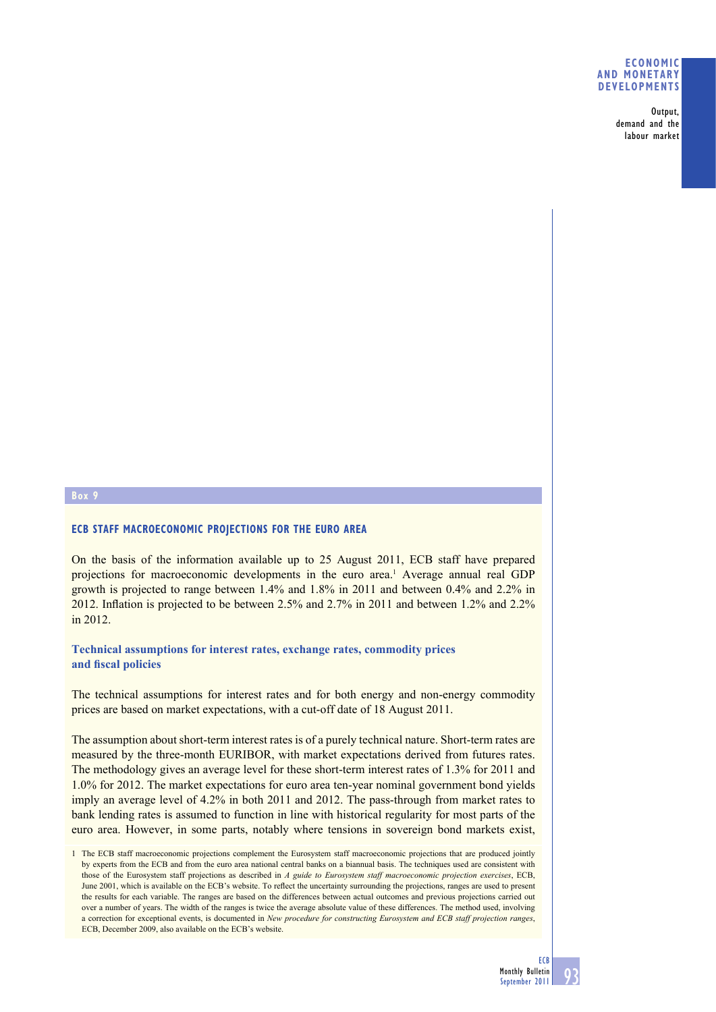### **ECONOMIC AND MONETARY DEVELOPMENTS**

**Output, demand and the labour market**

### **Box 9**

### **ECB STAFF MACROECONOMIC PROJECTIONS FOR THE EURO AREA**

On the basis of the information available up to 25 August 2011, ECB staff have prepared projections for macroeconomic developments in the euro area.<sup>1</sup> Average annual real GDP growth is projected to range between 1.4% and 1.8% in 2011 and between 0.4% and 2.2% in 2012. Inflation is projected to be between 2.5% and 2.7% in 2011 and between 1.2% and 2.2% in 2012.

# **Technical assumptions for interest rates, exchange rates, commodity prices**  and fiscal policies

The technical assumptions for interest rates and for both energy and non-energy commodity prices are based on market expectations, with a cut-off date of 18 August 2011.

The assumption about short-term interest rates is of a purely technical nature. Short-term rates are measured by the three-month EURIBOR, with market expectations derived from futures rates. The methodology gives an average level for these short-term interest rates of 1.3% for 2011 and 1.0% for 2012. The market expectations for euro area ten-year nominal government bond yields imply an average level of 4.2% in both 2011 and 2012. The pass-through from market rates to bank lending rates is assumed to function in line with historical regularity for most parts of the euro area. However, in some parts, notably where tensions in sovereign bond markets exist,

<sup>1</sup> The ECB staff macroeconomic projections complement the Eurosystem staff macroeconomic projections that are produced jointly by experts from the ECB and from the euro area national central banks on a biannual basis. The techniques used are consistent with those of the Eurosystem staff projections as described in *A guide to Eurosystem staff macroeconomic projection exercises*, ECB, June 2001, which is available on the ECB's website. To reflect the uncertainty surrounding the projections, ranges are used to present the results for each variable. The ranges are based on the differences between actual outcomes and previous projections carried out over a number of years. The width of the ranges is twice the average absolute value of these differences. The method used, involving a correction for exceptional events, is documented in *New procedure for constructing Eurosystem and ECB staff projection ranges*, ECB, December 2009, also available on the ECB's website.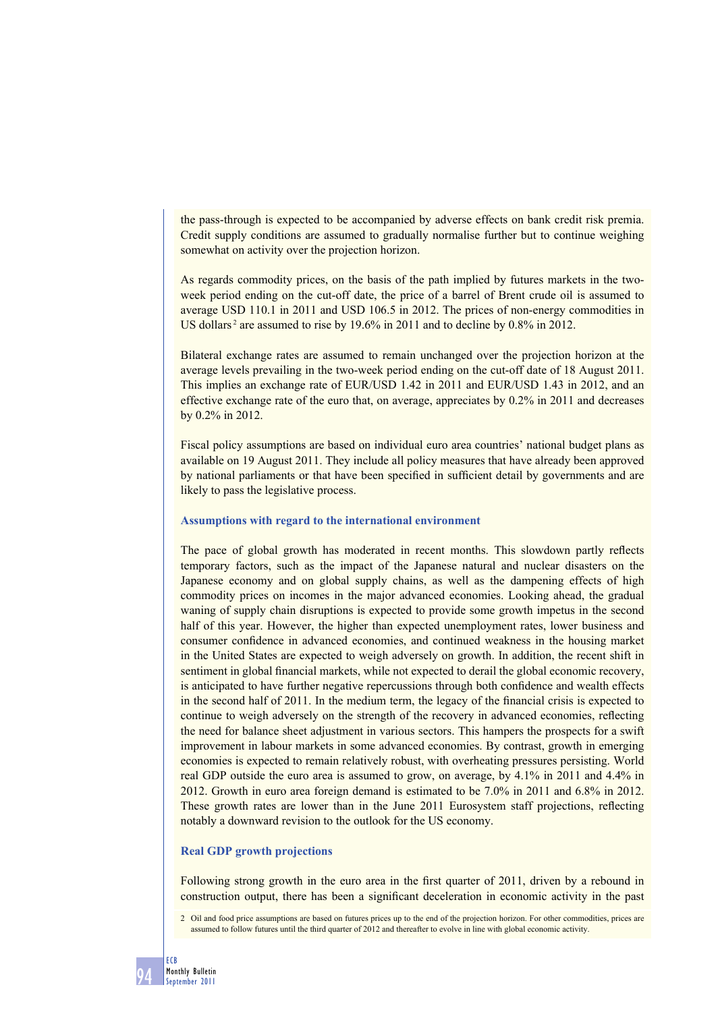the pass-through is expected to be accompanied by adverse effects on bank credit risk premia. Credit supply conditions are assumed to gradually normalise further but to continue weighing somewhat on activity over the projection horizon.

As regards commodity prices, on the basis of the path implied by futures markets in the twoweek period ending on the cut-off date, the price of a barrel of Brent crude oil is assumed to average USD 110.1 in 2011 and USD 106.5 in 2012. The prices of non-energy commodities in US dollars<sup>2</sup> are assumed to rise by 19.6% in 2011 and to decline by 0.8% in 2012.

Bilateral exchange rates are assumed to remain unchanged over the projection horizon at the average levels prevailing in the two-week period ending on the cut-off date of 18 August 2011. This implies an exchange rate of EUR/USD 1.42 in 2011 and EUR/USD 1.43 in 2012, and an effective exchange rate of the euro that, on average, appreciates by 0.2% in 2011 and decreases by 0.2% in 2012.

Fiscal policy assumptions are based on individual euro area countries' national budget plans as available on 19 August 2011. They include all policy measures that have already been approved by national parliaments or that have been specified in sufficient detail by governments and are likely to pass the legislative process.

### **Assumptions with regard to the international environment**

The pace of global growth has moderated in recent months. This slowdown partly reflects temporary factors, such as the impact of the Japanese natural and nuclear disasters on the Japanese economy and on global supply chains, as well as the dampening effects of high commodity prices on incomes in the major advanced economies. Looking ahead, the gradual waning of supply chain disruptions is expected to provide some growth impetus in the second half of this year. However, the higher than expected unemployment rates, lower business and consumer confidence in advanced economies, and continued weakness in the housing market in the United States are expected to weigh adversely on growth. In addition, the recent shift in sentiment in global financial markets, while not expected to derail the global economic recovery, is anticipated to have further negative repercussions through both confidence and wealth effects in the second half of 2011. In the medium term, the legacy of the financial crisis is expected to continue to weigh adversely on the strength of the recovery in advanced economies, reflecting the need for balance sheet adjustment in various sectors. This hampers the prospects for a swift improvement in labour markets in some advanced economies. By contrast, growth in emerging economies is expected to remain relatively robust, with overheating pressures persisting. World real GDP outside the euro area is assumed to grow, on average, by 4.1% in 2011 and 4.4% in 2012. Growth in euro area foreign demand is estimated to be 7.0% in 2011 and 6.8% in 2012. These growth rates are lower than in the June 2011 Eurosystem staff projections, reflecting notably a downward revision to the outlook for the US economy.

#### **Real GDP growth projections**

Following strong growth in the euro area in the first quarter of 2011, driven by a rebound in construction output, there has been a significant deceleration in economic activity in the past

2 Oil and food price assumptions are based on futures prices up to the end of the projection horizon. For other commodities, prices are assumed to follow futures until the third quarter of 2012 and thereafter to evolve in line with global economic activity.

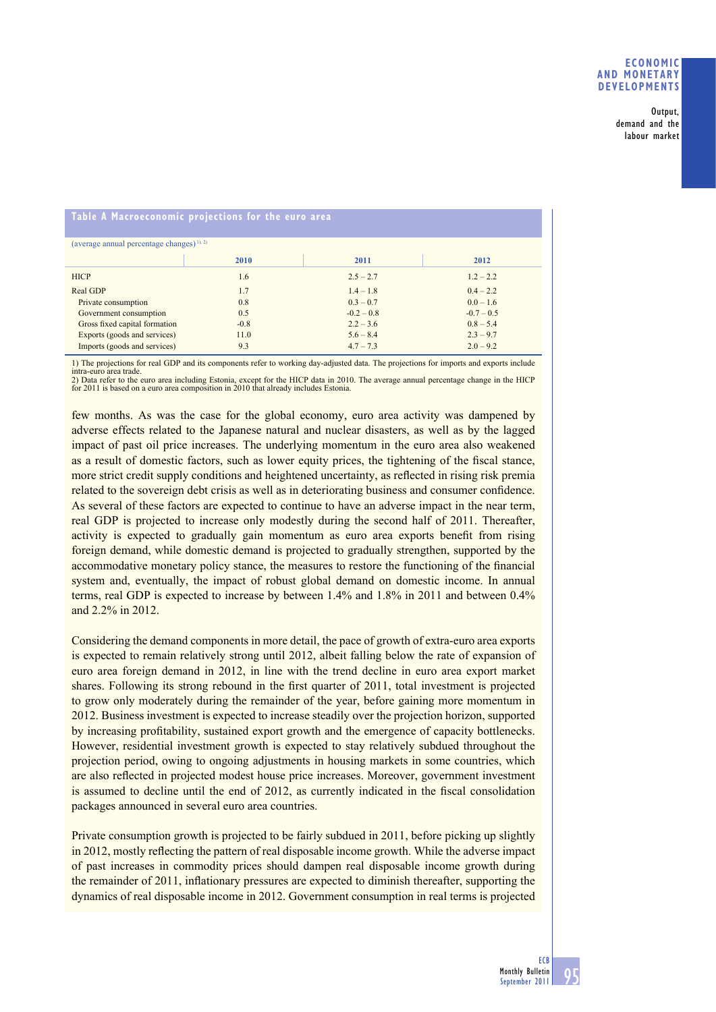**Output, demand and the labour market**

# **Table A Macroeconomic projections for the euro area**

| (average annual percentage changes) <sup>1), 2)</sup> |        |              |              |  |  |  |  |
|-------------------------------------------------------|--------|--------------|--------------|--|--|--|--|
|                                                       |        |              |              |  |  |  |  |
|                                                       | 2010   | 2011         | 2012         |  |  |  |  |
|                                                       |        |              |              |  |  |  |  |
| <b>HICP</b>                                           | 1.6    | $2.5 - 2.7$  | $1.2 - 2.2$  |  |  |  |  |
| Real GDP                                              | 1.7    | $1.4 - 1.8$  | $0.4 - 2.2$  |  |  |  |  |
| Private consumption                                   | 0.8    | $0.3 - 0.7$  | $0.0 - 1.6$  |  |  |  |  |
| Government consumption                                | 0.5    | $-0.2 - 0.8$ | $-0.7 - 0.5$ |  |  |  |  |
| Gross fixed capital formation                         | $-0.8$ | $2.2 - 3.6$  | $0.8 - 5.4$  |  |  |  |  |
| Exports (goods and services)                          | 11.0   | $5.6 - 8.4$  | $2.3 - 9.7$  |  |  |  |  |
| Imports (goods and services)                          | 9.3    | $4.7 - 7.3$  | $2.0 - 9.2$  |  |  |  |  |

1) The projections for real GDP and its components refer to working day-adjusted data. The projections for imports and exports include intra-euro area trade.

2) Data refer to the euro area including Estonia, except for the HICP data in 2010. The average annual percentage change in the HICP for 2011 is based on a euro area composition in 2010 that already includes Estonia.

few months. As was the case for the global economy, euro area activity was dampened by adverse effects related to the Japanese natural and nuclear disasters, as well as by the lagged impact of past oil price increases. The underlying momentum in the euro area also weakened as a result of domestic factors, such as lower equity prices, the tightening of the fiscal stance, more strict credit supply conditions and heightened uncertainty, as reflected in rising risk premia related to the sovereign debt crisis as well as in deteriorating business and consumer confidence. As several of these factors are expected to continue to have an adverse impact in the near term, real GDP is projected to increase only modestly during the second half of 2011. Thereafter, activity is expected to gradually gain momentum as euro area exports benefit from rising foreign demand, while domestic demand is projected to gradually strengthen, supported by the accommodative monetary policy stance, the measures to restore the functioning of the financial system and, eventually, the impact of robust global demand on domestic income. In annual terms, real GDP is expected to increase by between 1.4% and 1.8% in 2011 and between 0.4% and 2.2% in 2012.

Considering the demand components in more detail, the pace of growth of extra-euro area exports is expected to remain relatively strong until 2012, albeit falling below the rate of expansion of euro area foreign demand in 2012, in line with the trend decline in euro area export market shares. Following its strong rebound in the first quarter of 2011, total investment is projected to grow only moderately during the remainder of the year, before gaining more momentum in 2012. Business investment is expected to increase steadily over the projection horizon, supported by increasing profitability, sustained export growth and the emergence of capacity bottlenecks. However, residential investment growth is expected to stay relatively subdued throughout the projection period, owing to ongoing adjustments in housing markets in some countries, which are also reflected in projected modest house price increases. Moreover, government investment is assumed to decline until the end of 2012, as currently indicated in the fiscal consolidation packages announced in several euro area countries.

Private consumption growth is projected to be fairly subdued in 2011, before picking up slightly in 2012, mostly reflecting the pattern of real disposable income growth. While the adverse impact of past increases in commodity prices should dampen real disposable income growth during the remainder of 2011, inflationary pressures are expected to diminish thereafter, supporting the dynamics of real disposable income in 2012. Government consumption in real terms is projected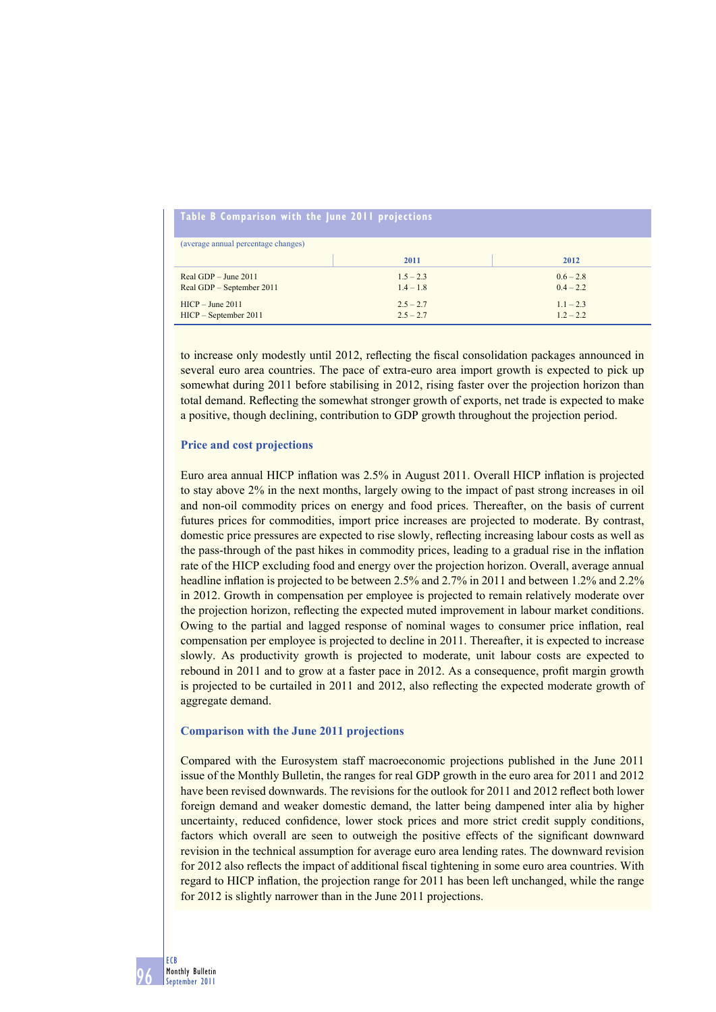| Table B Comparison with the June 2011 projections |             |             |  |  |  |  |  |
|---------------------------------------------------|-------------|-------------|--|--|--|--|--|
| (average annual percentage changes)               |             |             |  |  |  |  |  |
|                                                   | 2011        | 2012        |  |  |  |  |  |
| Real GDP $-$ June 2011                            | $1.5 - 2.3$ | $0.6 - 2.8$ |  |  |  |  |  |
| Real GDP – September 2011                         | $1.4 - 1.8$ | $0.4 - 2.2$ |  |  |  |  |  |
| $HICP - June 2011$                                | $2.5 - 2.7$ | $1.1 - 2.3$ |  |  |  |  |  |
| $HICP - September 2011$                           | $2.5 - 2.7$ | $1.2 - 2.2$ |  |  |  |  |  |

to increase only modestly until 2012, reflecting the fiscal consolidation packages announced in several euro area countries. The pace of extra-euro area import growth is expected to pick up somewhat during 2011 before stabilising in 2012, rising faster over the projection horizon than total demand. Reflecting the somewhat stronger growth of exports, net trade is expected to make a positive, though declining, contribution to GDP growth throughout the projection period.

### **Price and cost projections**

Euro area annual HICP inflation was 2.5% in August 2011. Overall HICP inflation is projected to stay above 2% in the next months, largely owing to the impact of past strong increases in oil and non-oil commodity prices on energy and food prices. Thereafter, on the basis of current futures prices for commodities, import price increases are projected to moderate. By contrast, domestic price pressures are expected to rise slowly, reflecting increasing labour costs as well as the pass-through of the past hikes in commodity prices, leading to a gradual rise in the inflation rate of the HICP excluding food and energy over the projection horizon. Overall, average annual headline inflation is projected to be between 2.5% and 2.7% in 2011 and between 1.2% and 2.2% in 2012. Growth in compensation per employee is projected to remain relatively moderate over the projection horizon, reflecting the expected muted improvement in labour market conditions. Owing to the partial and lagged response of nominal wages to consumer price inflation, real compensation per employee is projected to decline in 2011. Thereafter, it is expected to increase slowly. As productivity growth is projected to moderate, unit labour costs are expected to rebound in 2011 and to grow at a faster pace in 2012. As a consequence, profit margin growth is projected to be curtailed in 2011 and 2012, also reflecting the expected moderate growth of aggregate demand.

#### **Comparison with the June 2011 projections**

Compared with the Eurosystem staff macroeconomic projections published in the June 2011 issue of the Monthly Bulletin, the ranges for real GDP growth in the euro area for 2011 and 2012 have been revised downwards. The revisions for the outlook for 2011 and 2012 reflect both lower foreign demand and weaker domestic demand, the latter being dampened inter alia by higher uncertainty, reduced confidence, lower stock prices and more strict credit supply conditions, factors which overall are seen to outweigh the positive effects of the significant downward revision in the technical assumption for average euro area lending rates. The downward revision for 2012 also reflects the impact of additional fiscal tightening in some euro area countries. With regard to HICP inflation, the projection range for 2011 has been left unchanged, while the range for 2012 is slightly narrower than in the June 2011 projections.